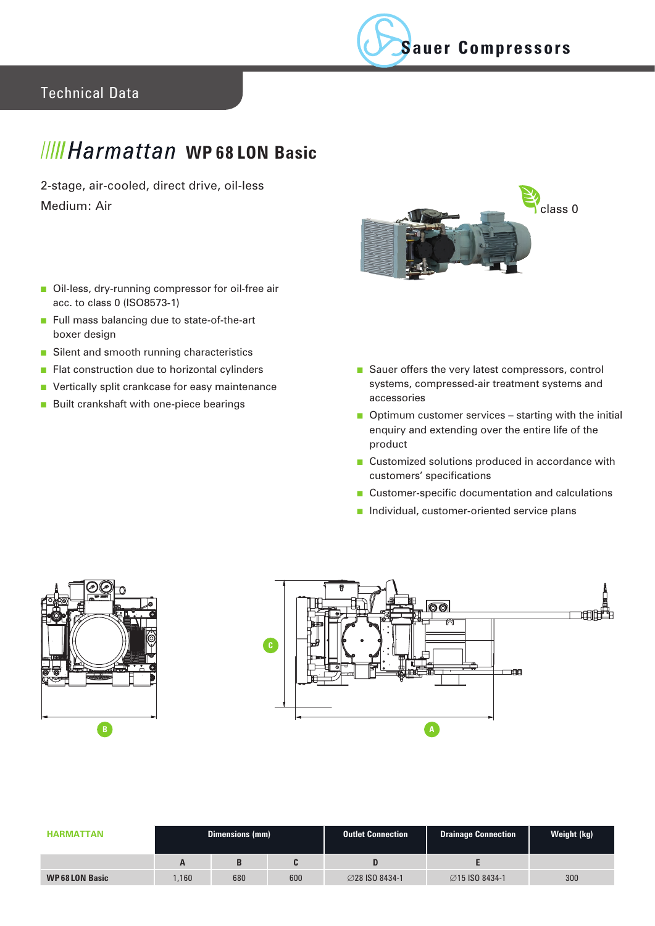

## Technical Data

## *MIIHarmattan* WP68 LON Basic

2-stage, air-cooled, direct drive, oil-less Medium: Air



- Oil-less, dry-running compressor for oil-free air acc. to class 0 (ISO8573-1)
- Full mass balancing due to state-of-the-art boxer design
- Silent and smooth running characteristics
- Flat construction due to horizontal cylinders
- Vertically split crankcase for easy maintenance
- Built crankshaft with one-piece bearings
- Sauer offers the very latest compressors, control systems, compressed-air treatment systems and accessories
- Optimum customer services starting with the initial enquiry and extending over the entire life of the product
- Customized solutions produced in accordance with customers' specifications
- Customer-specific documentation and calculations
- Individual, customer-oriented service plans





| <b>HARMATTAN</b>     | <b>Dimensions (mm)</b> |     |     | <b>Outlet Connection</b> | <b>Drainage Connection</b> | Weight (kg) |
|----------------------|------------------------|-----|-----|--------------------------|----------------------------|-------------|
|                      | Ē                      |     |     |                          |                            |             |
| <b>WP68LON Basic</b> | .160                   | 680 | 600 | <b>⊘28 ISO 8434-1</b>    | <b>⊘15 ISO 8434-1</b>      | 300         |